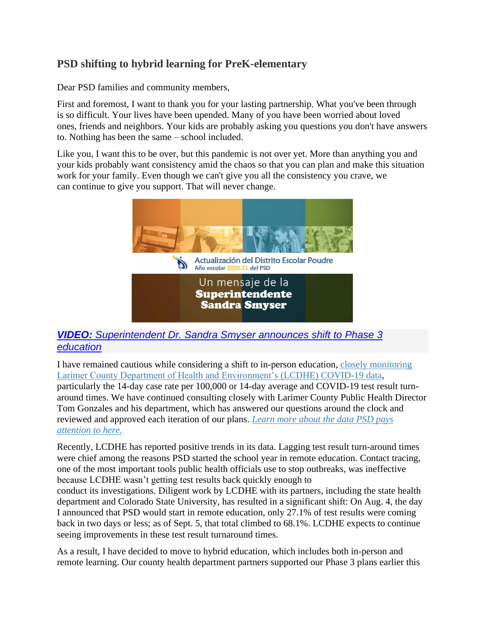#### **PSD shifting to hybrid learning for PreK-elementary**

Dear PSD families and community members,

First and foremost, I want to thank you for your lasting partnership. What you've been through is so difficult. Your lives have been upended. Many of you have been worried about loved ones, friends and neighbors. Your kids are probably asking you questions you don't have answers to. Nothing has been the same – school included.

Like you, I want this to be over, but this pandemic is not over yet. More than anything you and your kids probably want consistency amid the chaos so that you can plan and make this situation work for your family. Even though we can't give you all the consistency you crave, we can continue to give you support. That will never change.



#### *VIDEO: [Superintendent Dr. Sandra Smyser](https://youtu.be/QGmUPmq_PYM) announces shift to Phase 3 [education](https://youtu.be/QGmUPmq_PYM)*

I have remained cautious while considering a shift to in-person education, [closely monitoring](https://www.psdschools.org/node/1612)  [Larimer County Department of Health and Environment's](https://www.psdschools.org/node/1612) (LCDHE) COVID-19 data, particularly the 14-day case rate per 100,000 or 14-day average and COVID-19 test result turnaround times. We have continued consulting closely with Larimer County Public Health Director Tom Gonzales and his department, which has answered our questions around the clock and reviewed and approved each iteration of our plans. *[Learn more about the data PSD pays](https://www.psdschools.org/node/1612)  [attention to here.](https://www.psdschools.org/node/1612)*

Recently, LCDHE has reported positive trends in its data. Lagging test result turn-around times were chief among the reasons PSD started the school year in remote education. Contact tracing, one of the most important tools public health officials use to stop outbreaks, was ineffective because LCDHE wasn't getting test results back quickly enough to

conduct its investigations. Diligent work by LCDHE with its partners, including the state health department and Colorado State University, has resulted in a significant shift: On Aug. 4, the day I announced that PSD would start in remote education, only 27.1% of test results were coming back in two days or less; as of Sept. 5, that total climbed to 68.1%. LCDHE expects to continue seeing improvements in these test result turnaround times.

As a result, I have decided to move to hybrid education, which includes both in-person and remote learning. Our county health department partners supported our Phase 3 plans earlier this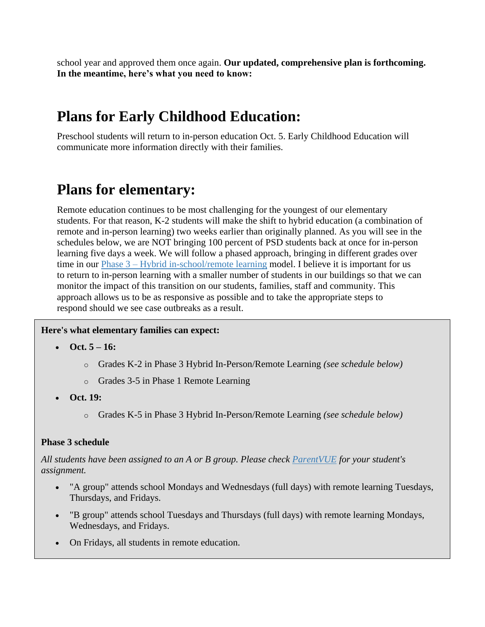school year and approved them once again. **Our updated, comprehensive plan is forthcoming. In the meantime, here's what you need to know:**

### **Plans for Early Childhood Education:**

Preschool students will return to in-person education Oct. 5. Early Childhood Education will communicate more information directly with their families.

### **Plans for elementary:**

Remote education continues to be most challenging for the youngest of our elementary students. For that reason, K-2 students will make the shift to hybrid education (a combination of remote and in-person learning) two weeks earlier than originally planned. As you will see in the schedules below, we are NOT bringing 100 percent of PSD students back at once for in-person learning five days a week. We will follow a phased approach, bringing in different grades over time in our Phase 3 – [Hybrid in-school/remote](https://www.psdschools.org/node/1559%22%20/h%20%20HYPERLINK%20%22https:/www.psdschools.org/node/1559%22%20/) learning model. I believe it is important for us to return to in-person learning with a smaller number of students in our buildings so that we can monitor the impact of this transition on our students, families, staff and community. This approach allows us to be as responsive as possible and to take the appropriate steps to respond should we see case outbreaks as a result.

#### **Here's what elementary families can expect:**

- **Oct. 5 – 16:**
	- o Grades K-2 in Phase 3 Hybrid In-Person/Remote Learning *(see schedule below)*
	- o Grades 3-5 in Phase 1 Remote Learning
- **Oct. 19:**
	- o Grades K-5 in Phase 3 Hybrid In-Person/Remote Learning *(see schedule below)*

#### **Phase 3 schedule**

*All students have been assigned to an A or B group. Please check [ParentVUE](https://www.psdschools.org/ParentVUE) for your student's assignment.*

- "A group" attends school Mondays and Wednesdays (full days) with remote learning Tuesdays, Thursdays, and Fridays.
- "B group" attends school Tuesdays and Thursdays (full days) with remote learning Mondays, Wednesdays, and Fridays.
- On Fridays, all students in remote education.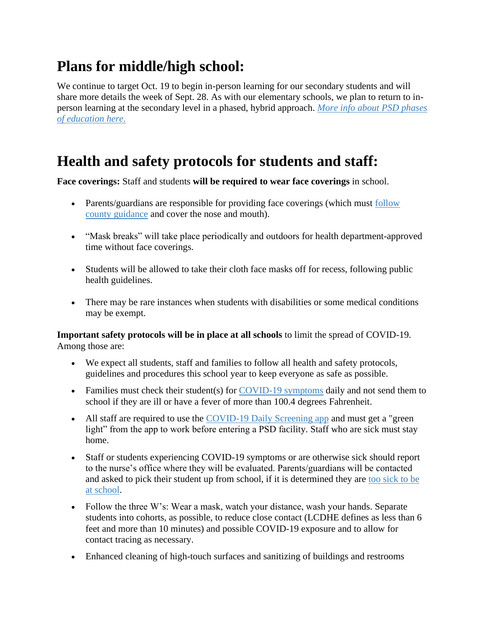## **Plans for middle/high school:**

We continue to target Oct. 19 to begin in-person learning for our secondary students and will share more details the week of Sept. 28. As with our elementary schools, we plan to return to inperson learning at the secondary level in a phased, hybrid approach. *[More info about PSD phases](https://www.psdschools.org/psd2020-21)  [of education here.](https://www.psdschools.org/psd2020-21)*

### **Health and safety protocols for students and staff:**

**Face coverings:** Staff and students **will be required to wear face coverings** in school.

- Parents/guardians are responsible for providing face coverings (which must follow [county guidance](https://www.larimer.org/health/communicable-disease/coronavirus-covid-19/face-coverings-and-masks) and cover the nose and mouth).
- "Mask breaks" will take place periodically and outdoors for health department-approved time without face coverings.
- Students will be allowed to take their cloth face masks off for recess, following public health guidelines.
- There may be rare instances when students with disabilities or some medical conditions may be exempt.

**Important safety protocols will be in place at all schools** to limit the spread of COVID-19. Among those are:

- We expect all students, staff and families to follow all health and safety protocols, guidelines and procedures this school year to keep everyone as safe as possible.
- Families must check their student(s) for [COVID-19 symptoms](https://www.larimer.org/health/communicable-disease/coronavirus-covid-19/protecting-our-community-0) daily and not send them to school if they are ill or have a fever of more than 100.4 degrees Fahrenheit.
- All staff are required to use the [COVID-19 Daily Screening app](https://eweb2.psdschools.org/HealthEnvironmentTracker/Staff/Form/Dashboard) and must get a "green" light" from the app to work before entering a PSD facility. Staff who are sick must stay home.
- Staff or students experiencing COVID-19 symptoms or are otherwise sick should report to the nurse's office where they will be evaluated. Parents/guardians will be contacted and asked to pick their student up from school, if it is determined they are [too sick to be](https://www.cdc.gov/coronavirus/2019-ncov/if-you-are-sick/steps-when-sick.html)  [at school.](https://www.cdc.gov/coronavirus/2019-ncov/if-you-are-sick/steps-when-sick.html)
- Follow the three W's: Wear a mask, watch your distance, wash your hands. Separate students into cohorts, as possible, to reduce close contact (LCDHE defines as less than 6 feet and more than 10 minutes) and possible COVID-19 exposure and to allow for contact tracing as necessary.
- Enhanced cleaning of high-touch surfaces and sanitizing of buildings and restrooms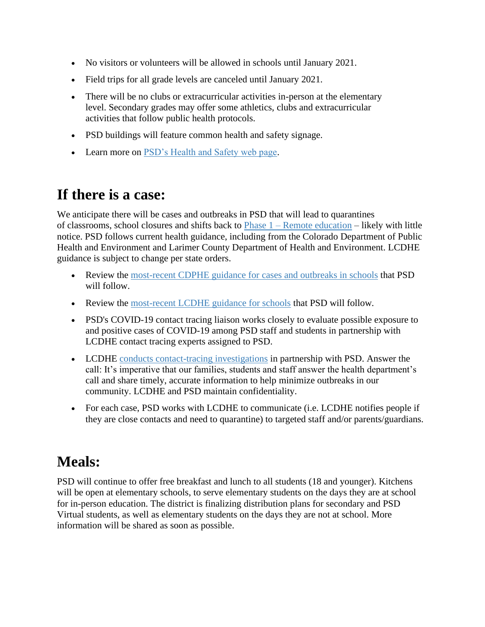- No visitors or volunteers will be allowed in schools until January 2021.
- Field trips for all grade levels are canceled until January 2021.
- There will be no clubs or extracurricular activities in-person at the elementary level. Secondary grades may offer some athletics, clubs and extracurricular activities that follow public health protocols.
- PSD buildings will feature common health and safety signage.
- Learn more on [PSD's Health and Safety web page.](https://www.psdschools.org/node/1568)

### **If there is a case:**

We anticipate there will be cases and outbreaks in PSD that will lead to quarantines of classrooms, school closures and shifts back to  $Phase 1 - Remote education - likely with little$  $Phase 1 - Remote education - likely with little$  $Phase 1 - Remote education - likely with little$ notice. PSD follows current health guidance, including from the Colorado Department of Public Health and Environment and Larimer County Department of Health and Environment. LCDHE guidance is subject to change per state orders.

- Review the [most-recent CDPHE guidance](https://covid19.colorado.gov/cases-and-outbreaks-child-care-schools#:~:text=Schools%20and%20child%20care%20providers%20are%20required%20to%20report%20all,providers%20an%20report%20outbreaks%20by%3A&text=Calling%20CDPHE%20at%20303%2D692%2D2700.) for cases and outbreaks in schools that PSD will follow.
- Review the [most-recent LCDHE guidance for schools](https://docs.google.com/document/d/1izrGvHmuDQ79y7Js4W1mmms0t170vJGmV_rQnqQw6qg/edit) that PSD will follow.
- PSD's COVID-19 contact tracing liaison works closely to evaluate possible exposure to and positive cases of COVID-19 among PSD staff and students in partnership with LCDHE contact tracing experts assigned to PSD.
- LCDHE [conducts contact-tracing investigations](https://www.larimer.org/health/communicable-disease/coronavirus-covid-19/contact-tracing) in partnership with PSD. Answer the call: It's imperative that our families, students and staff answer the health department's call and share timely, accurate information to help minimize outbreaks in our community. LCDHE and PSD maintain confidentiality.
- For each case, PSD works with LCDHE to communicate (i.e. LCDHE notifies people if they are close contacts and need to quarantine) to targeted staff and/or parents/guardians.

# **Meals:**

PSD will continue to offer free breakfast and lunch to all students (18 and younger). Kitchens will be open at elementary schools, to serve elementary students on the days they are at school for in-person education. The district is finalizing distribution plans for secondary and PSD Virtual students, as well as elementary students on the days they are not at school. More information will be shared as soon as possible.